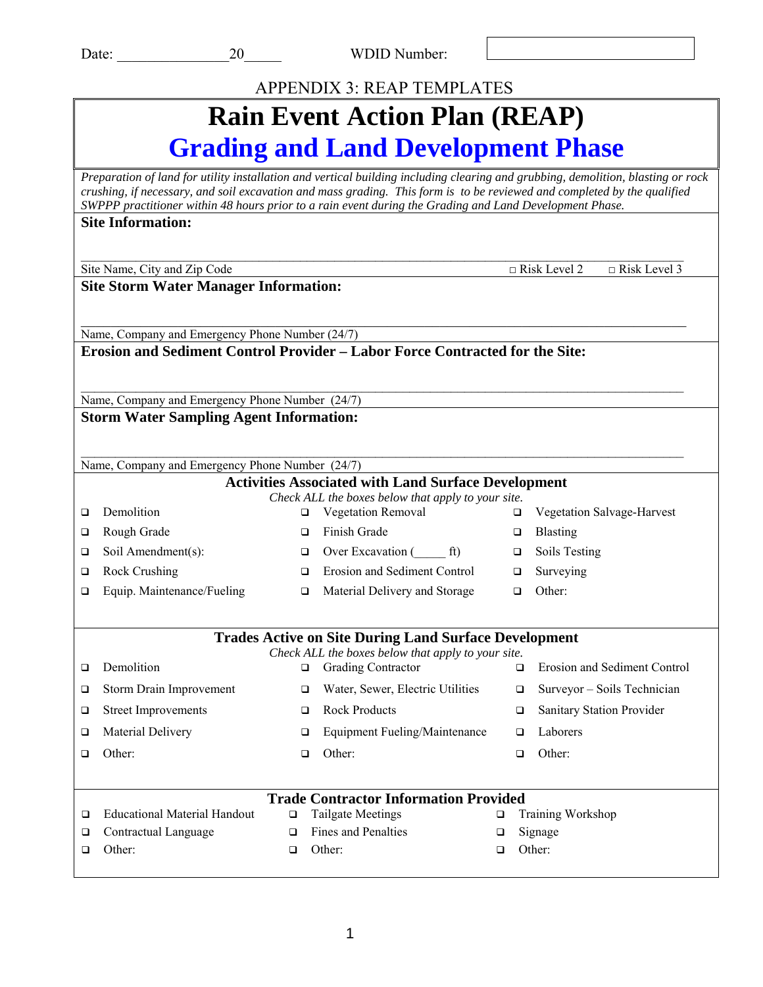### APPENDIX 3: REAP TEMPLATES

### **Rain Event Action Plan (REAP) Grading and Land Development Phase**

*Preparation of land for utility installation and vertical building including clearing and grubbing, demolition, blasting or rock crushing, if necessary, and soil excavation and mass grading. This form is to be reviewed and completed by the qualified SWPPP practitioner within 48 hours prior to a rain event during the Grading and Land Development Phase.* **Site Information:** 

|   | site information:                                                                                 |        |                                                                                                                  |        |                     |                                   |
|---|---------------------------------------------------------------------------------------------------|--------|------------------------------------------------------------------------------------------------------------------|--------|---------------------|-----------------------------------|
|   | Site Name, City and Zip Code                                                                      |        |                                                                                                                  |        | $\Box$ Risk Level 2 | $\Box$ Risk Level 3               |
|   | <b>Site Storm Water Manager Information:</b>                                                      |        |                                                                                                                  |        |                     |                                   |
|   |                                                                                                   |        |                                                                                                                  |        |                     |                                   |
|   |                                                                                                   |        |                                                                                                                  |        |                     |                                   |
|   | Name, Company and Emergency Phone Number (24/7)                                                   |        | Erosion and Sediment Control Provider – Labor Force Contracted for the Site:                                     |        |                     |                                   |
|   |                                                                                                   |        |                                                                                                                  |        |                     |                                   |
|   |                                                                                                   |        |                                                                                                                  |        |                     |                                   |
|   | Name, Company and Emergency Phone Number (24/7)<br><b>Storm Water Sampling Agent Information:</b> |        |                                                                                                                  |        |                     |                                   |
|   |                                                                                                   |        |                                                                                                                  |        |                     |                                   |
|   |                                                                                                   |        |                                                                                                                  |        |                     |                                   |
|   | Name, Company and Emergency Phone Number (24/7)                                                   |        |                                                                                                                  |        |                     |                                   |
|   |                                                                                                   |        | <b>Activities Associated with Land Surface Development</b><br>Check ALL the boxes below that apply to your site. |        |                     |                                   |
| □ | Demolition                                                                                        | □      | Vegetation Removal                                                                                               | o.     |                     | <b>Vegetation Salvage-Harvest</b> |
| ❏ | Rough Grade                                                                                       | □      | Finish Grade                                                                                                     | □      | <b>Blasting</b>     |                                   |
| ❏ | Soil Amendment(s):                                                                                | ❏      | Over Excavation (ft)                                                                                             | ❏      | Soils Testing       |                                   |
| ❏ | Rock Crushing                                                                                     | □      | <b>Erosion and Sediment Control</b>                                                                              | $\Box$ | Surveying           |                                   |
| □ | Equip. Maintenance/Fueling                                                                        | □      | Material Delivery and Storage                                                                                    | □      | Other:              |                                   |
|   |                                                                                                   |        |                                                                                                                  |        |                     |                                   |
|   |                                                                                                   |        | <b>Trades Active on Site During Land Surface Development</b>                                                     |        |                     |                                   |
|   | Demolition                                                                                        |        | Check ALL the boxes below that apply to your site.                                                               |        |                     |                                   |
| ❏ |                                                                                                   | $\Box$ | <b>Grading Contractor</b>                                                                                        | □      |                     | Erosion and Sediment Control      |
| ❏ | Storm Drain Improvement                                                                           | □      | Water, Sewer, Electric Utilities                                                                                 | □      |                     | Surveyor - Soils Technician       |
| ❏ | <b>Street Improvements</b>                                                                        | ❏      | <b>Rock Products</b>                                                                                             | ❏      |                     | Sanitary Station Provider         |
| □ | Material Delivery                                                                                 | □      | <b>Equipment Fueling/Maintenance</b>                                                                             | □      | Laborers            |                                   |
| □ | Other:                                                                                            | ◻      | Other:                                                                                                           | ◻      | Other:              |                                   |
|   |                                                                                                   |        |                                                                                                                  |        |                     |                                   |
|   |                                                                                                   |        | <b>Trade Contractor Information Provided</b>                                                                     |        |                     |                                   |
| □ | <b>Educational Material Handout</b>                                                               | $\Box$ | <b>Tailgate Meetings</b>                                                                                         | □      | Training Workshop   |                                   |
| ❏ | Contractual Language                                                                              | $\Box$ | Fines and Penalties                                                                                              | □      | Signage             |                                   |
| □ | Other:                                                                                            | $\Box$ | Other:                                                                                                           | □      | Other:              |                                   |
|   |                                                                                                   |        |                                                                                                                  |        |                     |                                   |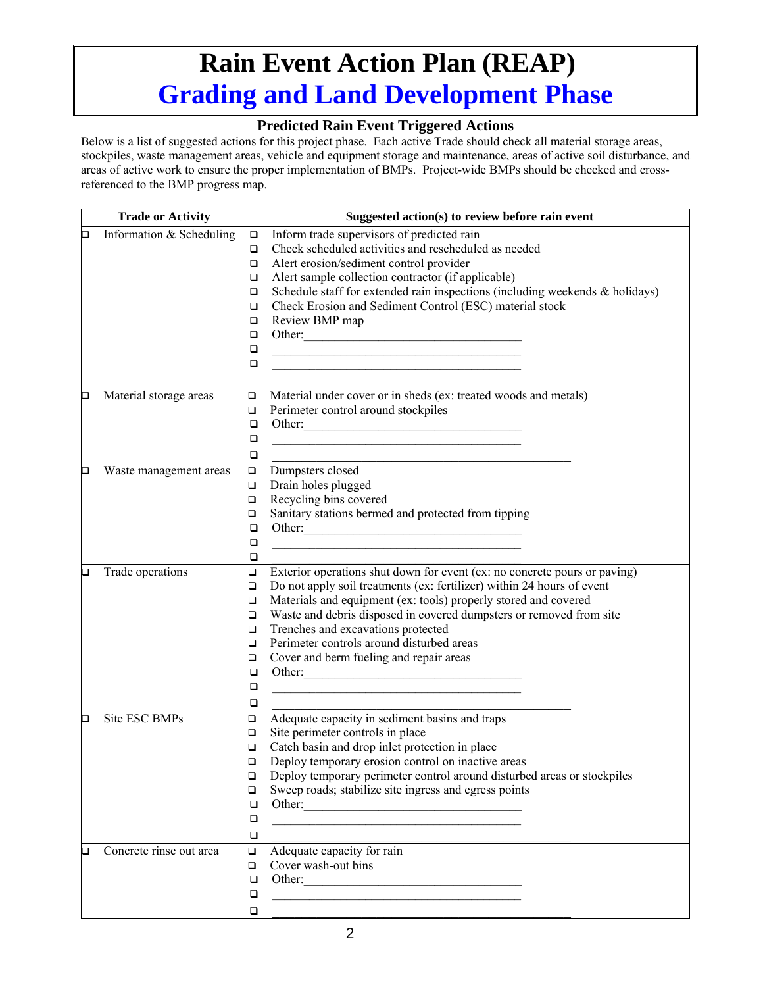# **Rain Event Action Plan (REAP) Grading and Land Development Phase**

#### **Predicted Rain Event Triggered Actions**

|   | <b>Trade or Activity</b> | Suggested action(s) to review before rain event                                                                                 |
|---|--------------------------|---------------------------------------------------------------------------------------------------------------------------------|
| o | Information & Scheduling | Inform trade supervisors of predicted rain<br>$\Box$                                                                            |
|   |                          | Check scheduled activities and rescheduled as needed<br>$\Box$                                                                  |
|   |                          | Alert erosion/sediment control provider<br>$\Box$                                                                               |
|   |                          | Alert sample collection contractor (if applicable)<br>$\Box$                                                                    |
|   |                          | Schedule staff for extended rain inspections (including weekends $\&$ holidays)<br>$\Box$                                       |
|   |                          | Check Erosion and Sediment Control (ESC) material stock<br>$\Box$                                                               |
|   |                          | Review BMP map<br>□                                                                                                             |
|   |                          | Other:<br>$\Box$                                                                                                                |
|   |                          | $\Box$<br><u> 1989 - Johann Barn, mars ann an t-Amhain an t-Amhain an t-Amhain an t-Amhain an t-Amhain an t-Amhain an t-Amh</u> |
|   |                          | $\Box$<br><u> 1980 - Johann Barbara, martin amerikan basar dan berasal dan berasal dalam basar dalam basar dalam basar dala</u> |
|   |                          |                                                                                                                                 |
| Q | Material storage areas   | $\Box$<br>Material under cover or in sheds (ex: treated woods and metals)                                                       |
|   |                          | Perimeter control around stockpiles<br>$\Box$                                                                                   |
|   |                          | Other:<br>$\Box$                                                                                                                |
|   |                          | ❏                                                                                                                               |
|   |                          | □                                                                                                                               |
| О | Waste management areas   | $\Box$<br>Dumpsters closed                                                                                                      |
|   |                          | Drain holes plugged<br>$\Box$                                                                                                   |
|   |                          | Recycling bins covered<br>$\Box$                                                                                                |
|   |                          | Sanitary stations bermed and protected from tipping<br>□                                                                        |
|   |                          | ❏                                                                                                                               |
|   |                          | ❏                                                                                                                               |
|   |                          | ❏                                                                                                                               |
| О | Trade operations         | $\Box$<br>Exterior operations shut down for event (ex: no concrete pours or paving)                                             |
|   |                          | Do not apply soil treatments (ex: fertilizer) within 24 hours of event<br>$\Box$                                                |
|   |                          | Materials and equipment (ex: tools) properly stored and covered<br>$\Box$                                                       |
|   |                          | Waste and debris disposed in covered dumpsters or removed from site<br>$\Box$                                                   |
|   |                          | Trenches and excavations protected<br>$\Box$                                                                                    |
|   |                          | Perimeter controls around disturbed areas<br>$\Box$                                                                             |
|   |                          | Cover and berm fueling and repair areas<br>o                                                                                    |
|   |                          | Other:<br>$\Box$                                                                                                                |
|   |                          | ❏                                                                                                                               |
|   |                          | □                                                                                                                               |
| ◻ | Site ESC BMPs            | Adequate capacity in sediment basins and traps<br>❏                                                                             |
|   |                          | Site perimeter controls in place<br>$\Box$                                                                                      |
|   |                          | Catch basin and drop inlet protection in place<br>$\Box$                                                                        |
|   |                          | Deploy temporary erosion control on inactive areas<br>$\Box$                                                                    |
|   |                          | Deploy temporary perimeter control around disturbed areas or stockpiles<br>❏                                                    |
|   |                          | Sweep roads; stabilize site ingress and egress points<br>❏                                                                      |
|   |                          | ❏                                                                                                                               |
|   |                          | ❏<br><u> 1989 - Johann Stoff, amerikansk politiker (d. 1989)</u>                                                                |
|   |                          | ❏                                                                                                                               |
| О | Concrete rinse out area  | Adequate capacity for rain<br>$\Box$                                                                                            |
|   |                          | Cover wash-out bins<br>□                                                                                                        |
|   |                          | Other:<br>□                                                                                                                     |
|   |                          | ❏<br><u> 1989 - Johann Barbara, martxa alemaniar arg</u>                                                                        |
|   |                          | $\Box$                                                                                                                          |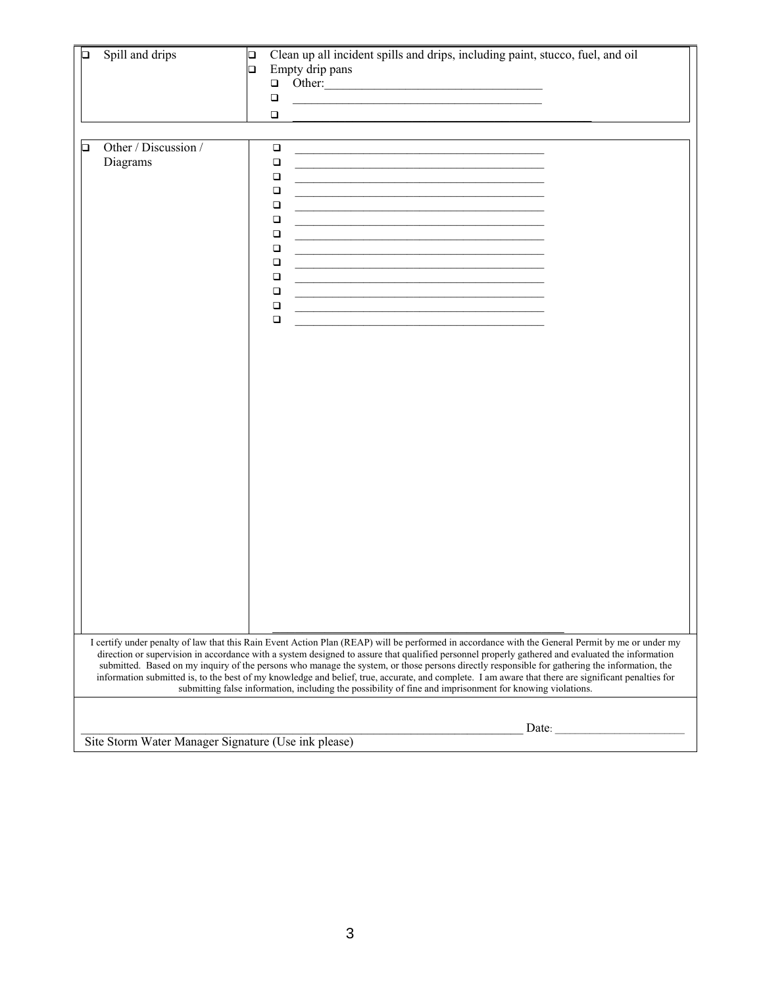| О | Spill and drips                  | Clean up all incident spills and drips, including paint, stucco, fuel, and oil<br>$\Box$<br>Empty drip pans<br>$\Box$<br>Other:<br>$\Box$<br>$\Box$<br>the control of the control of the control of the control of the control of the control of the<br>$\Box$                                                                                                                                                                                                                                                                                                         |                                                     |  |  |  |  |
|---|----------------------------------|------------------------------------------------------------------------------------------------------------------------------------------------------------------------------------------------------------------------------------------------------------------------------------------------------------------------------------------------------------------------------------------------------------------------------------------------------------------------------------------------------------------------------------------------------------------------|-----------------------------------------------------|--|--|--|--|
| ◻ | Other / Discussion /<br>Diagrams | $\Box$<br>$\Box$<br>$\Box$<br>$\Box$<br>$\Box$<br>$\Box$<br>$\Box$<br>$\Box$<br>$\Box$<br>the control of the control of the control of the control of the control of the control of the control of the control of the control of the control of the control of the control of the control of the control of the control<br>$\Box$<br><u> 1989 - Johann John Stone, mars et al. (</u><br>$\Box$<br>$\Box$<br>$\Box$<br>I certify under penalty of law that this Rain Event Action Plan (REAP) will be performed in accordance with the General Permit by me or under my |                                                     |  |  |  |  |
|   |                                  | direction or supervision in accordance with a system designed to assure that qualified personnel properly gathered and evaluated the information<br>submitted. Based on my inquiry of the persons who manage the system, or those persons directly responsible for gathering the information, the<br>information submitted is, to the best of my knowledge and belief, true, accurate, and complete. I am aware that there are significant penalties for<br>submitting false information, including the possibility of fine and imprisonment for knowing violations.   |                                                     |  |  |  |  |
|   |                                  | Date:                                                                                                                                                                                                                                                                                                                                                                                                                                                                                                                                                                  | Site Storm Water Manager Signature (Use ink please) |  |  |  |  |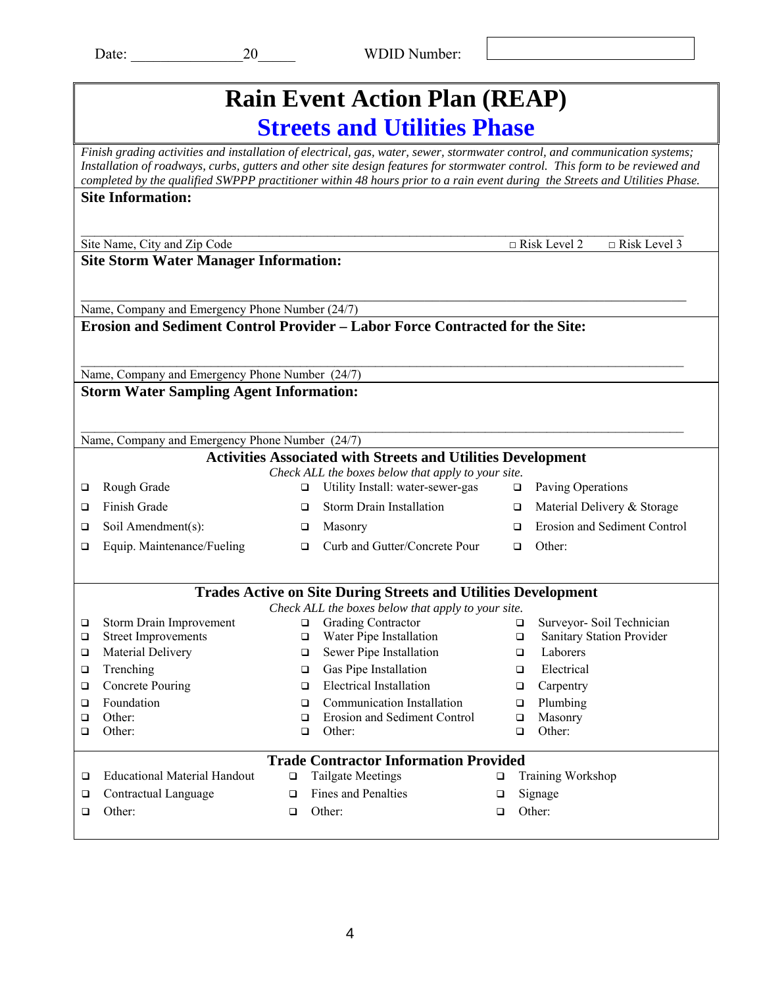|             | <b>Rain Event Action Plan (REAP)</b>                                                                                                                                                                                                                                                                                                                                                       |                  |                                                                                     |        |                                            |  |  |
|-------------|--------------------------------------------------------------------------------------------------------------------------------------------------------------------------------------------------------------------------------------------------------------------------------------------------------------------------------------------------------------------------------------------|------------------|-------------------------------------------------------------------------------------|--------|--------------------------------------------|--|--|
|             | <b>Streets and Utilities Phase</b>                                                                                                                                                                                                                                                                                                                                                         |                  |                                                                                     |        |                                            |  |  |
|             | Finish grading activities and installation of electrical, gas, water, sewer, stormwater control, and communication systems;<br>Installation of roadways, curbs, gutters and other site design features for stormwater control. This form to be reviewed and<br>completed by the qualified SWPPP practitioner within 48 hours prior to a rain event during the Streets and Utilities Phase. |                  |                                                                                     |        |                                            |  |  |
|             | <b>Site Information:</b>                                                                                                                                                                                                                                                                                                                                                                   |                  |                                                                                     |        |                                            |  |  |
|             |                                                                                                                                                                                                                                                                                                                                                                                            |                  |                                                                                     |        |                                            |  |  |
|             | Site Name, City and Zip Code                                                                                                                                                                                                                                                                                                                                                               |                  |                                                                                     |        | $\Box$ Risk Level 3<br>$\Box$ Risk Level 2 |  |  |
|             | <b>Site Storm Water Manager Information:</b>                                                                                                                                                                                                                                                                                                                                               |                  |                                                                                     |        |                                            |  |  |
|             |                                                                                                                                                                                                                                                                                                                                                                                            |                  |                                                                                     |        |                                            |  |  |
|             |                                                                                                                                                                                                                                                                                                                                                                                            |                  |                                                                                     |        |                                            |  |  |
|             | Name, Company and Emergency Phone Number (24/7)                                                                                                                                                                                                                                                                                                                                            |                  | <b>Erosion and Sediment Control Provider – Labor Force Contracted for the Site:</b> |        |                                            |  |  |
|             |                                                                                                                                                                                                                                                                                                                                                                                            |                  |                                                                                     |        |                                            |  |  |
|             |                                                                                                                                                                                                                                                                                                                                                                                            |                  |                                                                                     |        |                                            |  |  |
|             | Name, Company and Emergency Phone Number (24/7)                                                                                                                                                                                                                                                                                                                                            |                  |                                                                                     |        |                                            |  |  |
|             | <b>Storm Water Sampling Agent Information:</b>                                                                                                                                                                                                                                                                                                                                             |                  |                                                                                     |        |                                            |  |  |
|             |                                                                                                                                                                                                                                                                                                                                                                                            |                  |                                                                                     |        |                                            |  |  |
|             | Name, Company and Emergency Phone Number (24/7)                                                                                                                                                                                                                                                                                                                                            |                  |                                                                                     |        |                                            |  |  |
|             |                                                                                                                                                                                                                                                                                                                                                                                            |                  | <b>Activities Associated with Streets and Utilities Development</b>                 |        |                                            |  |  |
|             |                                                                                                                                                                                                                                                                                                                                                                                            |                  | Check ALL the boxes below that apply to your site.                                  |        |                                            |  |  |
| □           | Rough Grade                                                                                                                                                                                                                                                                                                                                                                                | □                | Utility Install: water-sewer-gas                                                    | $\Box$ | Paving Operations                          |  |  |
| □           | Finish Grade                                                                                                                                                                                                                                                                                                                                                                               | □                | Storm Drain Installation                                                            | □      | Material Delivery & Storage                |  |  |
| □           | Soil Amendment(s):                                                                                                                                                                                                                                                                                                                                                                         | □                | Masonry                                                                             | ◻      | Erosion and Sediment Control               |  |  |
| ❏           | Equip. Maintenance/Fueling                                                                                                                                                                                                                                                                                                                                                                 | $\Box$           | Curb and Gutter/Concrete Pour                                                       | $\Box$ | Other:                                     |  |  |
|             |                                                                                                                                                                                                                                                                                                                                                                                            |                  |                                                                                     |        |                                            |  |  |
|             |                                                                                                                                                                                                                                                                                                                                                                                            |                  | <b>Trades Active on Site During Streets and Utilities Development</b>               |        |                                            |  |  |
|             |                                                                                                                                                                                                                                                                                                                                                                                            |                  | Check ALL the boxes below that apply to your site.                                  |        |                                            |  |  |
| ❏           | Storm Drain Improvement                                                                                                                                                                                                                                                                                                                                                                    | ❏                | Grading Contractor                                                                  |        | Surveyor- Soil Technician<br>❏             |  |  |
| ◻           | <b>Street Improvements</b>                                                                                                                                                                                                                                                                                                                                                                 | $\Box$           | Water Pipe Installation                                                             |        | <b>Sanitary Station Provider</b><br>□      |  |  |
| $\Box$      | Material Delivery                                                                                                                                                                                                                                                                                                                                                                          | □                | Sewer Pipe Installation                                                             |        | Laborers<br>□                              |  |  |
| ❏           | Trenching                                                                                                                                                                                                                                                                                                                                                                                  | $\Box$           | Gas Pipe Installation                                                               |        | Electrical<br>□                            |  |  |
| □           | <b>Concrete Pouring</b>                                                                                                                                                                                                                                                                                                                                                                    | □                | <b>Electrical Installation</b>                                                      |        | Carpentry<br>□                             |  |  |
| ❏<br>$\Box$ | Foundation<br>Other:                                                                                                                                                                                                                                                                                                                                                                       | $\Box$<br>$\Box$ | Communication Installation<br>Erosion and Sediment Control                          |        | Plumbing<br>$\Box$<br>Masonry<br>$\Box$    |  |  |
| □           | Other:                                                                                                                                                                                                                                                                                                                                                                                     | $\Box$           | Other:                                                                              |        | Other:<br>$\Box$                           |  |  |
|             |                                                                                                                                                                                                                                                                                                                                                                                            |                  |                                                                                     |        |                                            |  |  |
|             |                                                                                                                                                                                                                                                                                                                                                                                            |                  | <b>Trade Contractor Information Provided</b>                                        |        |                                            |  |  |
| $\Box$      | <b>Educational Material Handout</b>                                                                                                                                                                                                                                                                                                                                                        | $\Box$           | <b>Tailgate Meetings</b>                                                            | $\Box$ | Training Workshop                          |  |  |
| $\Box$      | Contractual Language                                                                                                                                                                                                                                                                                                                                                                       | $\Box$           | <b>Fines and Penalties</b>                                                          | □      | Signage                                    |  |  |
| □           | Other:                                                                                                                                                                                                                                                                                                                                                                                     | ❏                | Other:                                                                              | □      | Other:                                     |  |  |
|             |                                                                                                                                                                                                                                                                                                                                                                                            |                  |                                                                                     |        |                                            |  |  |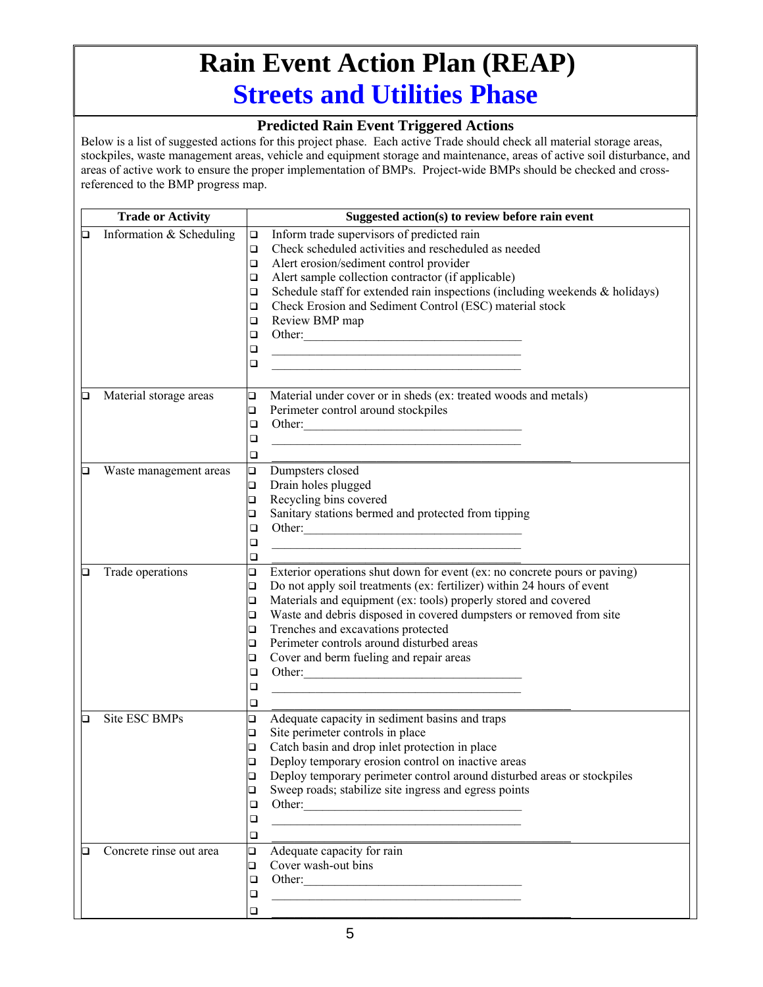## **Rain Event Action Plan (REAP) Streets and Utilities Phase**

#### **Predicted Rain Event Triggered Actions**

|   | <b>Trade or Activity</b> | Suggested action(s) to review before rain event                                                                                 |
|---|--------------------------|---------------------------------------------------------------------------------------------------------------------------------|
| o | Information & Scheduling | Inform trade supervisors of predicted rain<br>$\Box$                                                                            |
|   |                          | Check scheduled activities and rescheduled as needed<br>$\Box$                                                                  |
|   |                          | Alert erosion/sediment control provider<br>$\Box$                                                                               |
|   |                          | Alert sample collection contractor (if applicable)<br>$\Box$                                                                    |
|   |                          | Schedule staff for extended rain inspections (including weekends $\&$ holidays)<br>$\Box$                                       |
|   |                          | Check Erosion and Sediment Control (ESC) material stock<br>$\Box$                                                               |
|   |                          | Review BMP map<br>□                                                                                                             |
|   |                          | Other:<br>$\Box$                                                                                                                |
|   |                          | $\Box$<br><u> 1989 - Johann Barn, mars ann an t-Amhain an t-Amhain an t-Amhain an t-Amhain an t-Amhain an t-Amhain an t-Amh</u> |
|   |                          | $\Box$<br><u> 1980 - Johann Barbara, martin amerikan basar dan berasal dan berasal dalam basar dalam basar dalam basar dala</u> |
|   |                          |                                                                                                                                 |
| Q | Material storage areas   | $\Box$<br>Material under cover or in sheds (ex: treated woods and metals)                                                       |
|   |                          | Perimeter control around stockpiles<br>$\Box$                                                                                   |
|   |                          | Other:<br>$\Box$                                                                                                                |
|   |                          | ❏                                                                                                                               |
|   |                          | □                                                                                                                               |
| О | Waste management areas   | $\Box$<br>Dumpsters closed                                                                                                      |
|   |                          | Drain holes plugged<br>$\Box$                                                                                                   |
|   |                          | Recycling bins covered<br>$\Box$                                                                                                |
|   |                          | Sanitary stations bermed and protected from tipping<br>□                                                                        |
|   |                          | ❏                                                                                                                               |
|   |                          | ❏                                                                                                                               |
|   |                          | ❏                                                                                                                               |
| О | Trade operations         | $\Box$<br>Exterior operations shut down for event (ex: no concrete pours or paving)                                             |
|   |                          | Do not apply soil treatments (ex: fertilizer) within 24 hours of event<br>$\Box$                                                |
|   |                          | Materials and equipment (ex: tools) properly stored and covered<br>$\Box$                                                       |
|   |                          | Waste and debris disposed in covered dumpsters or removed from site<br>$\Box$                                                   |
|   |                          | Trenches and excavations protected<br>$\Box$                                                                                    |
|   |                          | Perimeter controls around disturbed areas<br>$\Box$                                                                             |
|   |                          | Cover and berm fueling and repair areas<br>o                                                                                    |
|   |                          | Other:<br>$\Box$                                                                                                                |
|   |                          | ❏                                                                                                                               |
|   |                          | □                                                                                                                               |
| ◻ | Site ESC BMPs            | Adequate capacity in sediment basins and traps<br>❏                                                                             |
|   |                          | Site perimeter controls in place<br>$\Box$                                                                                      |
|   |                          | Catch basin and drop inlet protection in place<br>$\Box$                                                                        |
|   |                          | Deploy temporary erosion control on inactive areas<br>$\Box$                                                                    |
|   |                          | Deploy temporary perimeter control around disturbed areas or stockpiles<br>❏                                                    |
|   |                          | Sweep roads; stabilize site ingress and egress points<br>❏                                                                      |
|   |                          | ❏                                                                                                                               |
|   |                          | ❏<br><u> 1989 - Johann Stoff, amerikansk politiker (d. 1989)</u>                                                                |
|   |                          | ❏                                                                                                                               |
| О | Concrete rinse out area  | Adequate capacity for rain<br>$\Box$                                                                                            |
|   |                          | Cover wash-out bins<br>□                                                                                                        |
|   |                          | Other:<br>□                                                                                                                     |
|   |                          | ❏<br><u> 1989 - Johann Barbara, martxa alemaniar arg</u>                                                                        |
|   |                          | $\Box$                                                                                                                          |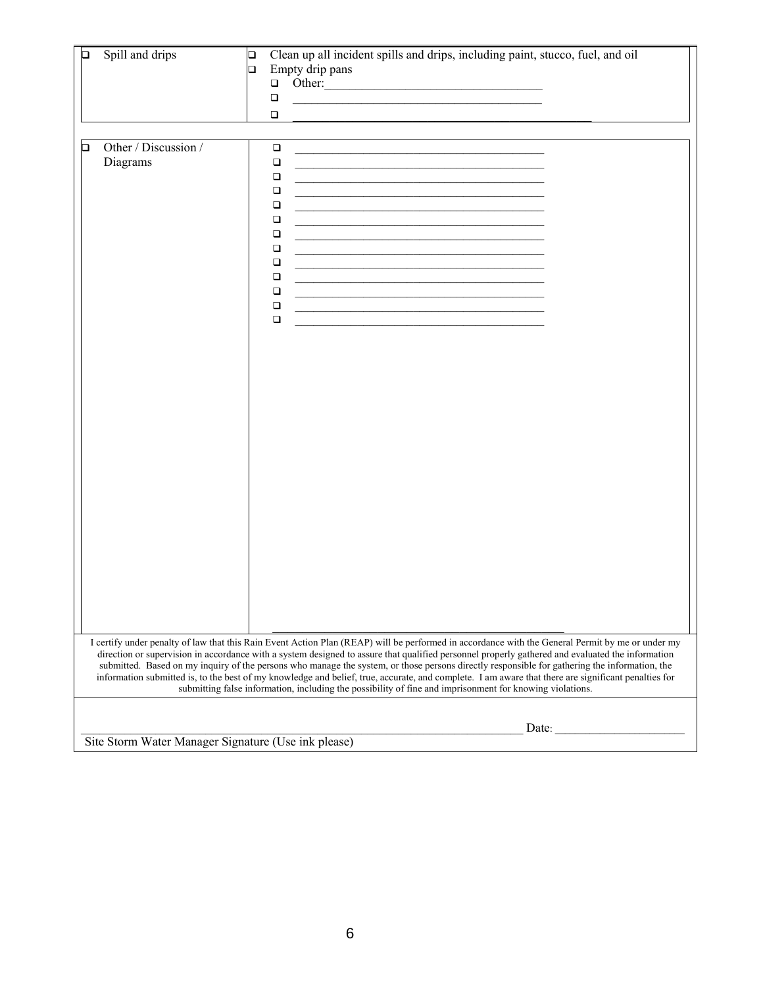| О | Spill and drips                  | Clean up all incident spills and drips, including paint, stucco, fuel, and oil<br>$\Box$<br>Empty drip pans<br>$\Box$<br>Other:<br>$\Box$<br>$\Box$<br>the control of the control of the control of the control of the control of the control of the<br>$\Box$                                                                                                                                                                                                                                                                                                         |                                                     |  |  |  |  |
|---|----------------------------------|------------------------------------------------------------------------------------------------------------------------------------------------------------------------------------------------------------------------------------------------------------------------------------------------------------------------------------------------------------------------------------------------------------------------------------------------------------------------------------------------------------------------------------------------------------------------|-----------------------------------------------------|--|--|--|--|
| ◻ | Other / Discussion /<br>Diagrams | $\Box$<br>$\Box$<br>$\Box$<br>$\Box$<br>$\Box$<br>$\Box$<br>$\Box$<br>$\Box$<br>$\Box$<br>the control of the control of the control of the control of the control of the control of the control of the control of the control of the control of the control of the control of the control of the control of the control<br>$\Box$<br><u> 1989 - Johann John Stone, mars et al. (</u><br>$\Box$<br>$\Box$<br>$\Box$<br>I certify under penalty of law that this Rain Event Action Plan (REAP) will be performed in accordance with the General Permit by me or under my |                                                     |  |  |  |  |
|   |                                  | direction or supervision in accordance with a system designed to assure that qualified personnel properly gathered and evaluated the information<br>submitted. Based on my inquiry of the persons who manage the system, or those persons directly responsible for gathering the information, the<br>information submitted is, to the best of my knowledge and belief, true, accurate, and complete. I am aware that there are significant penalties for<br>submitting false information, including the possibility of fine and imprisonment for knowing violations.   |                                                     |  |  |  |  |
|   |                                  | Date:                                                                                                                                                                                                                                                                                                                                                                                                                                                                                                                                                                  | Site Storm Water Manager Signature (Use ink please) |  |  |  |  |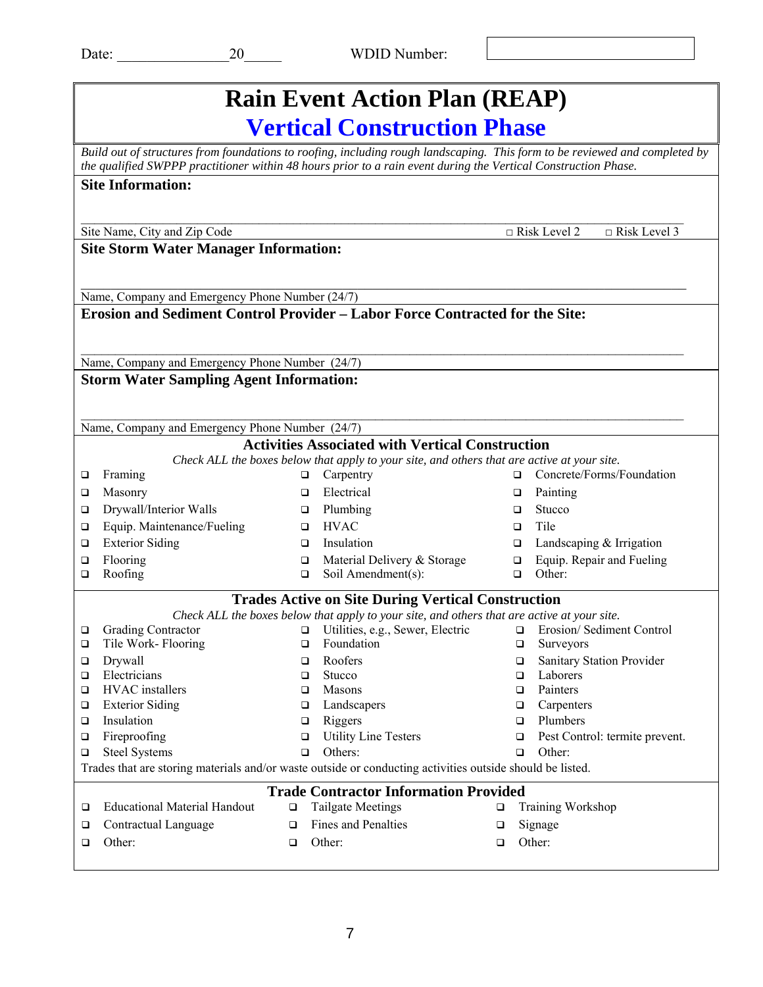| <b>Rain Event Action Plan (REAP)</b>                                                                                                                                                                                                          |                                                                                             |                                                           |  |  |  |  |  |  |
|-----------------------------------------------------------------------------------------------------------------------------------------------------------------------------------------------------------------------------------------------|---------------------------------------------------------------------------------------------|-----------------------------------------------------------|--|--|--|--|--|--|
| <b>Vertical Construction Phase</b>                                                                                                                                                                                                            |                                                                                             |                                                           |  |  |  |  |  |  |
| Build out of structures from foundations to roofing, including rough landscaping. This form to be reviewed and completed by<br>the qualified SWPPP practitioner within 48 hours prior to a rain event during the Vertical Construction Phase. |                                                                                             |                                                           |  |  |  |  |  |  |
| <b>Site Information:</b>                                                                                                                                                                                                                      |                                                                                             |                                                           |  |  |  |  |  |  |
|                                                                                                                                                                                                                                               |                                                                                             |                                                           |  |  |  |  |  |  |
| $\Box$ Risk Level 3<br>$\Box$ Risk Level 2<br>Site Name, City and Zip Code                                                                                                                                                                    |                                                                                             |                                                           |  |  |  |  |  |  |
| <b>Site Storm Water Manager Information:</b>                                                                                                                                                                                                  |                                                                                             |                                                           |  |  |  |  |  |  |
|                                                                                                                                                                                                                                               |                                                                                             |                                                           |  |  |  |  |  |  |
| Name, Company and Emergency Phone Number (24/7)                                                                                                                                                                                               |                                                                                             |                                                           |  |  |  |  |  |  |
| <b>Erosion and Sediment Control Provider – Labor Force Contracted for the Site:</b>                                                                                                                                                           |                                                                                             |                                                           |  |  |  |  |  |  |
|                                                                                                                                                                                                                                               |                                                                                             |                                                           |  |  |  |  |  |  |
| Name, Company and Emergency Phone Number (24/7)                                                                                                                                                                                               |                                                                                             |                                                           |  |  |  |  |  |  |
| <b>Storm Water Sampling Agent Information:</b>                                                                                                                                                                                                |                                                                                             |                                                           |  |  |  |  |  |  |
|                                                                                                                                                                                                                                               |                                                                                             |                                                           |  |  |  |  |  |  |
| Name, Company and Emergency Phone Number (24/7)                                                                                                                                                                                               |                                                                                             |                                                           |  |  |  |  |  |  |
|                                                                                                                                                                                                                                               | <b>Activities Associated with Vertical Construction</b>                                     |                                                           |  |  |  |  |  |  |
|                                                                                                                                                                                                                                               | Check ALL the boxes below that apply to your site, and others that are active at your site. |                                                           |  |  |  |  |  |  |
| Framing<br>$\Box$                                                                                                                                                                                                                             | Carpentry<br>□                                                                              | Concrete/Forms/Foundation<br>□                            |  |  |  |  |  |  |
| Masonry<br>❏                                                                                                                                                                                                                                  | Electrical<br>□                                                                             | Painting<br>❏                                             |  |  |  |  |  |  |
| Drywall/Interior Walls<br>❏<br>Equip. Maintenance/Fueling                                                                                                                                                                                     | Plumbing<br>$\Box$<br><b>HVAC</b><br>▫                                                      | Stucco<br>◻<br>Tile<br>□                                  |  |  |  |  |  |  |
| □<br><b>Exterior Siding</b><br>$\Box$                                                                                                                                                                                                         | Insulation<br>$\Box$                                                                        | Landscaping & Irrigation<br>$\Box$                        |  |  |  |  |  |  |
| Flooring<br>❏                                                                                                                                                                                                                                 | Material Delivery & Storage<br>□                                                            | Equip. Repair and Fueling<br>$\Box$                       |  |  |  |  |  |  |
| Roofing<br>□                                                                                                                                                                                                                                  | Soil Amendment(s):<br>$\Box$                                                                | Other:<br>$\Box$                                          |  |  |  |  |  |  |
|                                                                                                                                                                                                                                               | <b>Trades Active on Site During Vertical Construction</b>                                   |                                                           |  |  |  |  |  |  |
|                                                                                                                                                                                                                                               | Check ALL the boxes below that apply to your site, and others that are active at your site. |                                                           |  |  |  |  |  |  |
| <b>Grading Contractor</b><br>□                                                                                                                                                                                                                | Utilities, e.g., Sewer, Electric<br>$\Box$                                                  | $\Box$ Erosion/ Sediment Control                          |  |  |  |  |  |  |
| $\Box$<br>Tile Work- Flooring                                                                                                                                                                                                                 | □<br>Foundation                                                                             | ❏<br>Surveyors                                            |  |  |  |  |  |  |
| Drywall<br>□<br>Electricians                                                                                                                                                                                                                  | Roofers<br>□<br>Stucco                                                                      | Sanitary Station Provider<br>$\Box$<br>Laborers<br>$\Box$ |  |  |  |  |  |  |
| □<br>HVAC installers<br>$\Box$                                                                                                                                                                                                                | $\Box$<br>Masons<br>$\Box$                                                                  | Painters<br>$\Box$                                        |  |  |  |  |  |  |
| <b>Exterior Siding</b><br>$\Box$                                                                                                                                                                                                              | Landscapers<br>$\Box$                                                                       | Carpenters<br>$\Box$                                      |  |  |  |  |  |  |
| Insulation<br>$\Box$                                                                                                                                                                                                                          | Riggers<br>$\Box$                                                                           | Plumbers<br>$\Box$                                        |  |  |  |  |  |  |
| Fireproofing<br>□                                                                                                                                                                                                                             | <b>Utility Line Testers</b><br>$\Box$                                                       | Pest Control: termite prevent.<br>$\Box$                  |  |  |  |  |  |  |
| <b>Steel Systems</b><br>$\Box$                                                                                                                                                                                                                | Others:<br>$\Box$                                                                           | Other:<br>$\Box$                                          |  |  |  |  |  |  |
| Trades that are storing materials and/or waste outside or conducting activities outside should be listed.                                                                                                                                     |                                                                                             |                                                           |  |  |  |  |  |  |
|                                                                                                                                                                                                                                               | <b>Trade Contractor Information Provided</b>                                                |                                                           |  |  |  |  |  |  |
| <b>Educational Material Handout</b><br>$\Box$                                                                                                                                                                                                 | <b>Tailgate Meetings</b><br>$\Box$                                                          | <b>Training Workshop</b><br>□                             |  |  |  |  |  |  |
| Contractual Language<br>❏                                                                                                                                                                                                                     | Fines and Penalties<br>□                                                                    | Signage<br>□                                              |  |  |  |  |  |  |
| Other:<br>$\Box$                                                                                                                                                                                                                              | Other:<br>❏                                                                                 | Other:<br>□                                               |  |  |  |  |  |  |
|                                                                                                                                                                                                                                               |                                                                                             |                                                           |  |  |  |  |  |  |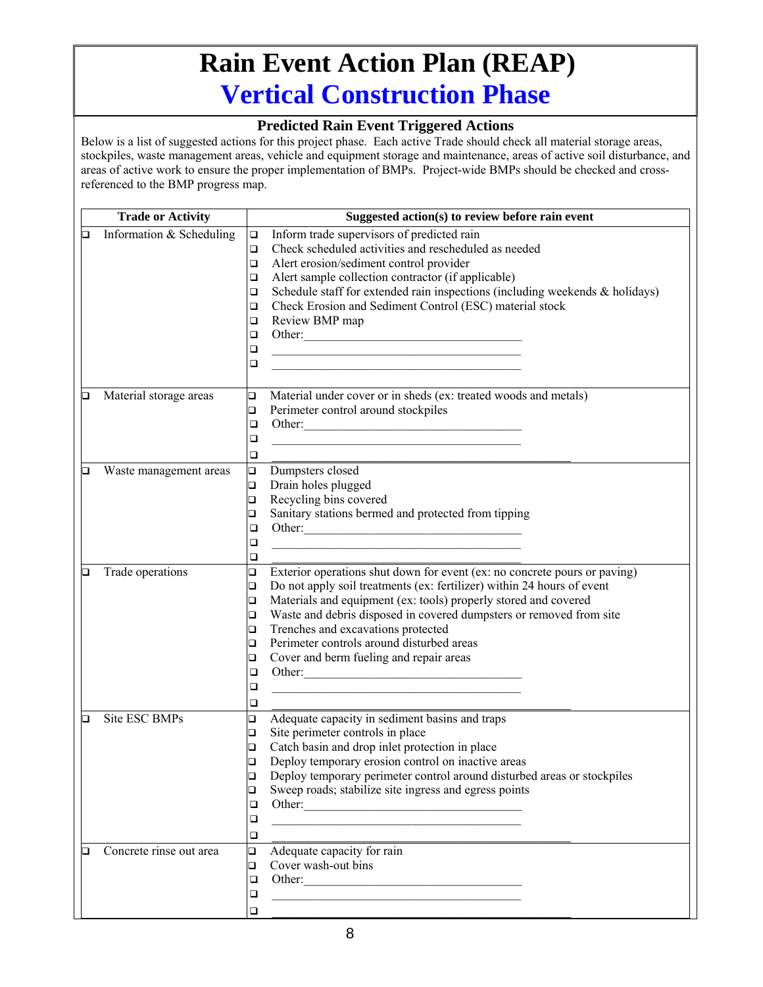## **Rain Event Action Plan (REAP) Vertical Construction Phase**

#### **Predicted Rain Event Triggered Actions**

|   | <b>Trade or Activity</b> |        | Suggested action(s) to review before rain event                                                                      |
|---|--------------------------|--------|----------------------------------------------------------------------------------------------------------------------|
| О | Information & Scheduling | □      | Inform trade supervisors of predicted rain                                                                           |
|   |                          | $\Box$ | Check scheduled activities and rescheduled as needed                                                                 |
|   |                          | $\Box$ | Alert erosion/sediment control provider                                                                              |
|   |                          | $\Box$ | Alert sample collection contractor (if applicable)                                                                   |
|   |                          | $\Box$ | Schedule staff for extended rain inspections (including weekends $\&$ holidays)                                      |
|   |                          | $\Box$ | Check Erosion and Sediment Control (ESC) material stock                                                              |
|   |                          | □      | Review BMP map                                                                                                       |
|   |                          | ❏      | Other:                                                                                                               |
|   |                          | $\Box$ |                                                                                                                      |
|   |                          | □      |                                                                                                                      |
|   |                          |        |                                                                                                                      |
| О | Material storage areas   | $\Box$ | Material under cover or in sheds (ex: treated woods and metals)                                                      |
|   |                          | $\Box$ | Perimeter control around stockpiles                                                                                  |
|   |                          | $\Box$ | Other:                                                                                                               |
|   |                          | $\Box$ | <u> 1989 - Johann Barbara, martin amerikan basar dan bagian dalam basar dalam basar dalam basar dalam basar dala</u> |
|   |                          | □      |                                                                                                                      |
| О | Waste management areas   | $\Box$ | Dumpsters closed                                                                                                     |
|   |                          | $\Box$ | Drain holes plugged                                                                                                  |
|   |                          | $\Box$ | Recycling bins covered                                                                                               |
|   |                          | □      | Sanitary stations bermed and protected from tipping                                                                  |
|   |                          | ❏      | Other:                                                                                                               |
|   |                          | $\Box$ |                                                                                                                      |
|   |                          | □      |                                                                                                                      |
| О | Trade operations         | $\Box$ | Exterior operations shut down for event (ex: no concrete pours or paving)                                            |
|   |                          | $\Box$ | Do not apply soil treatments (ex: fertilizer) within 24 hours of event                                               |
|   |                          | $\Box$ | Materials and equipment (ex: tools) properly stored and covered                                                      |
|   |                          | $\Box$ | Waste and debris disposed in covered dumpsters or removed from site                                                  |
|   |                          | $\Box$ | Trenches and excavations protected                                                                                   |
|   |                          | $\Box$ | Perimeter controls around disturbed areas                                                                            |
|   |                          | o      | Cover and berm fueling and repair areas                                                                              |
|   |                          | $\Box$ |                                                                                                                      |
|   |                          | $\Box$ | the control of the control of the control of the control of the control of the control of                            |
|   |                          | $\Box$ |                                                                                                                      |
| О | Site ESC BMPs            | □      | Adequate capacity in sediment basins and traps                                                                       |
|   |                          | $\Box$ | Site perimeter controls in place                                                                                     |
|   |                          | $\Box$ | Catch basin and drop inlet protection in place                                                                       |
|   |                          | $\Box$ | Deploy temporary erosion control on inactive areas                                                                   |
|   |                          | $\Box$ | Deploy temporary perimeter control around disturbed areas or stockpiles                                              |
|   |                          | ❏      | Sweep roads; stabilize site ingress and egress points                                                                |
|   |                          | ❏      |                                                                                                                      |
|   |                          | ❏      | <u> 1989 - Johann Barbara, martxa alemaniar arg</u>                                                                  |
|   |                          | □      |                                                                                                                      |
| □ | Concrete rinse out area  | $\Box$ | Adequate capacity for rain                                                                                           |
|   |                          | ❏      | Cover wash-out bins                                                                                                  |
|   |                          | ❏      | Other:                                                                                                               |
|   |                          | ❏      |                                                                                                                      |
|   |                          | $\Box$ |                                                                                                                      |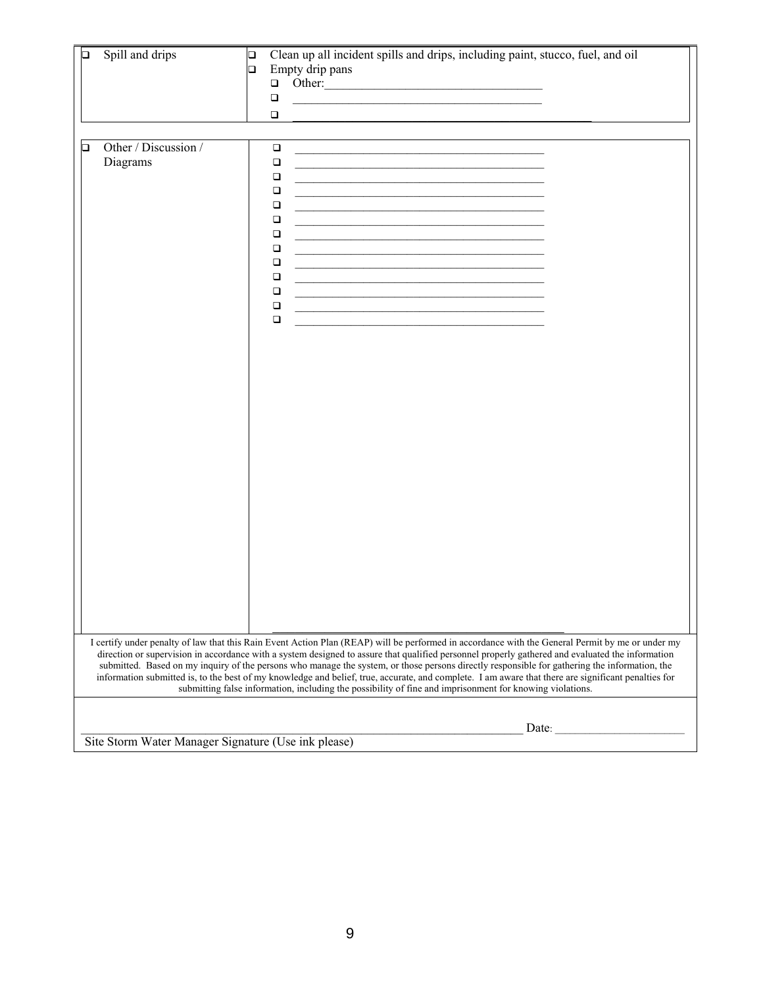| О | Spill and drips                  | Clean up all incident spills and drips, including paint, stucco, fuel, and oil<br>$\Box$<br>Empty drip pans<br>$\Box$<br>Other:<br>$\Box$<br>$\Box$<br>the control of the control of the control of the control of the control of the control of the<br>$\Box$                                                                                                                                                                                                                                                                                                         |                                                     |  |  |  |  |
|---|----------------------------------|------------------------------------------------------------------------------------------------------------------------------------------------------------------------------------------------------------------------------------------------------------------------------------------------------------------------------------------------------------------------------------------------------------------------------------------------------------------------------------------------------------------------------------------------------------------------|-----------------------------------------------------|--|--|--|--|
| ◻ | Other / Discussion /<br>Diagrams | $\Box$<br>$\Box$<br>$\Box$<br>$\Box$<br>$\Box$<br>$\Box$<br>$\Box$<br>$\Box$<br>$\Box$<br>the control of the control of the control of the control of the control of the control of the control of the control of the control of the control of the control of the control of the control of the control of the control<br>$\Box$<br><u> 1989 - Johann John Stone, mars et al. (</u><br>$\Box$<br>$\Box$<br>$\Box$<br>I certify under penalty of law that this Rain Event Action Plan (REAP) will be performed in accordance with the General Permit by me or under my |                                                     |  |  |  |  |
|   |                                  | direction or supervision in accordance with a system designed to assure that qualified personnel properly gathered and evaluated the information<br>submitted. Based on my inquiry of the persons who manage the system, or those persons directly responsible for gathering the information, the<br>information submitted is, to the best of my knowledge and belief, true, accurate, and complete. I am aware that there are significant penalties for<br>submitting false information, including the possibility of fine and imprisonment for knowing violations.   |                                                     |  |  |  |  |
|   |                                  | Date:                                                                                                                                                                                                                                                                                                                                                                                                                                                                                                                                                                  | Site Storm Water Manager Signature (Use ink please) |  |  |  |  |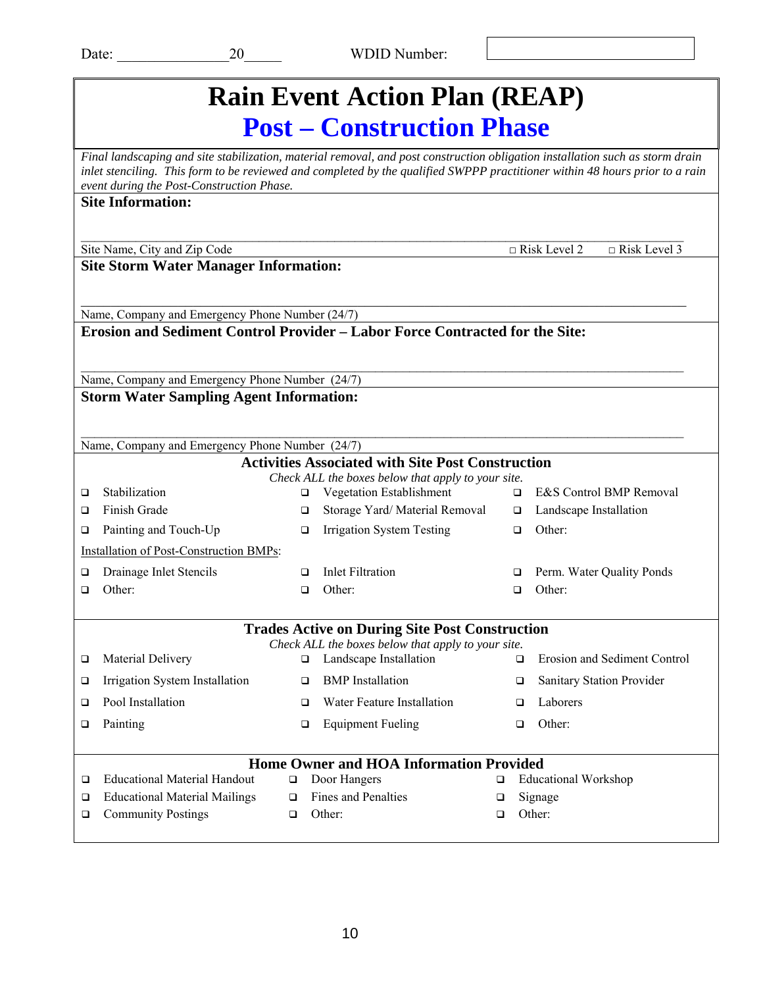| <b>Rain Event Action Plan (REAP)</b>                                                                                                                                                                                                                                                                       |        |                                                                                                             |        |                                            |  |  |  |
|------------------------------------------------------------------------------------------------------------------------------------------------------------------------------------------------------------------------------------------------------------------------------------------------------------|--------|-------------------------------------------------------------------------------------------------------------|--------|--------------------------------------------|--|--|--|
| <b>Post – Construction Phase</b>                                                                                                                                                                                                                                                                           |        |                                                                                                             |        |                                            |  |  |  |
| Final landscaping and site stabilization, material removal, and post construction obligation installation such as storm drain<br>inlet stenciling. This form to be reviewed and completed by the qualified SWPPP practitioner within 48 hours prior to a rain<br>event during the Post-Construction Phase. |        |                                                                                                             |        |                                            |  |  |  |
| <b>Site Information:</b>                                                                                                                                                                                                                                                                                   |        |                                                                                                             |        |                                            |  |  |  |
| Site Name, City and Zip Code                                                                                                                                                                                                                                                                               |        |                                                                                                             |        | $\Box$ Risk Level 3<br>$\Box$ Risk Level 2 |  |  |  |
| <b>Site Storm Water Manager Information:</b>                                                                                                                                                                                                                                                               |        |                                                                                                             |        |                                            |  |  |  |
| Name, Company and Emergency Phone Number (24/7)                                                                                                                                                                                                                                                            |        |                                                                                                             |        |                                            |  |  |  |
| Erosion and Sediment Control Provider - Labor Force Contracted for the Site:                                                                                                                                                                                                                               |        |                                                                                                             |        |                                            |  |  |  |
| Name, Company and Emergency Phone Number (24/7)                                                                                                                                                                                                                                                            |        |                                                                                                             |        |                                            |  |  |  |
| <b>Storm Water Sampling Agent Information:</b>                                                                                                                                                                                                                                                             |        |                                                                                                             |        |                                            |  |  |  |
|                                                                                                                                                                                                                                                                                                            |        |                                                                                                             |        |                                            |  |  |  |
| Name, Company and Emergency Phone Number (24/7)                                                                                                                                                                                                                                                            |        |                                                                                                             |        |                                            |  |  |  |
|                                                                                                                                                                                                                                                                                                            |        | <b>Activities Associated with Site Post Construction</b>                                                    |        |                                            |  |  |  |
|                                                                                                                                                                                                                                                                                                            |        | Check ALL the boxes below that apply to your site.                                                          |        |                                            |  |  |  |
| Stabilization<br>□                                                                                                                                                                                                                                                                                         | ❏      | Vegetation Establishment                                                                                    | $\Box$ | E&S Control BMP Removal                    |  |  |  |
| Finish Grade<br>◻                                                                                                                                                                                                                                                                                          | □      | Storage Yard/Material Removal                                                                               | $\Box$ | Landscape Installation                     |  |  |  |
| Painting and Touch-Up<br>❏                                                                                                                                                                                                                                                                                 | $\Box$ | <b>Irrigation System Testing</b>                                                                            | $\Box$ | Other:                                     |  |  |  |
| Installation of Post-Construction BMPs:                                                                                                                                                                                                                                                                    |        |                                                                                                             |        |                                            |  |  |  |
| Drainage Inlet Stencils<br>❏                                                                                                                                                                                                                                                                               | □      | <b>Inlet Filtration</b>                                                                                     | □      | Perm. Water Quality Ponds                  |  |  |  |
| Other:<br>◻                                                                                                                                                                                                                                                                                                | $\Box$ | Other:                                                                                                      | $\Box$ | Other:                                     |  |  |  |
|                                                                                                                                                                                                                                                                                                            |        |                                                                                                             |        |                                            |  |  |  |
|                                                                                                                                                                                                                                                                                                            |        | <b>Trades Active on During Site Post Construction</b><br>Check ALL the boxes below that apply to your site. |        |                                            |  |  |  |
| Material Delivery<br>□                                                                                                                                                                                                                                                                                     | □      | Landscape Installation                                                                                      | ◻      | <b>Erosion and Sediment Control</b>        |  |  |  |
| Irrigation System Installation<br>□                                                                                                                                                                                                                                                                        | $\Box$ | <b>BMP</b> Installation                                                                                     | ❏      | Sanitary Station Provider                  |  |  |  |
| Pool Installation<br>❏                                                                                                                                                                                                                                                                                     | $\Box$ | Water Feature Installation                                                                                  | □      | Laborers                                   |  |  |  |
| Painting<br>$\Box$                                                                                                                                                                                                                                                                                         | □      | <b>Equipment Fueling</b>                                                                                    | ◻      | Other:                                     |  |  |  |
|                                                                                                                                                                                                                                                                                                            |        |                                                                                                             |        |                                            |  |  |  |
|                                                                                                                                                                                                                                                                                                            |        | <b>Home Owner and HOA Information Provided</b>                                                              |        |                                            |  |  |  |
| <b>Educational Material Handout</b><br>□                                                                                                                                                                                                                                                                   | $\Box$ | Door Hangers                                                                                                | ❏      | <b>Educational Workshop</b>                |  |  |  |
| <b>Educational Material Mailings</b><br>□                                                                                                                                                                                                                                                                  | $\Box$ | Fines and Penalties                                                                                         | ❏      | Signage                                    |  |  |  |
| <b>Community Postings</b><br>❏                                                                                                                                                                                                                                                                             | □      | Other:                                                                                                      | ❏      | Other:                                     |  |  |  |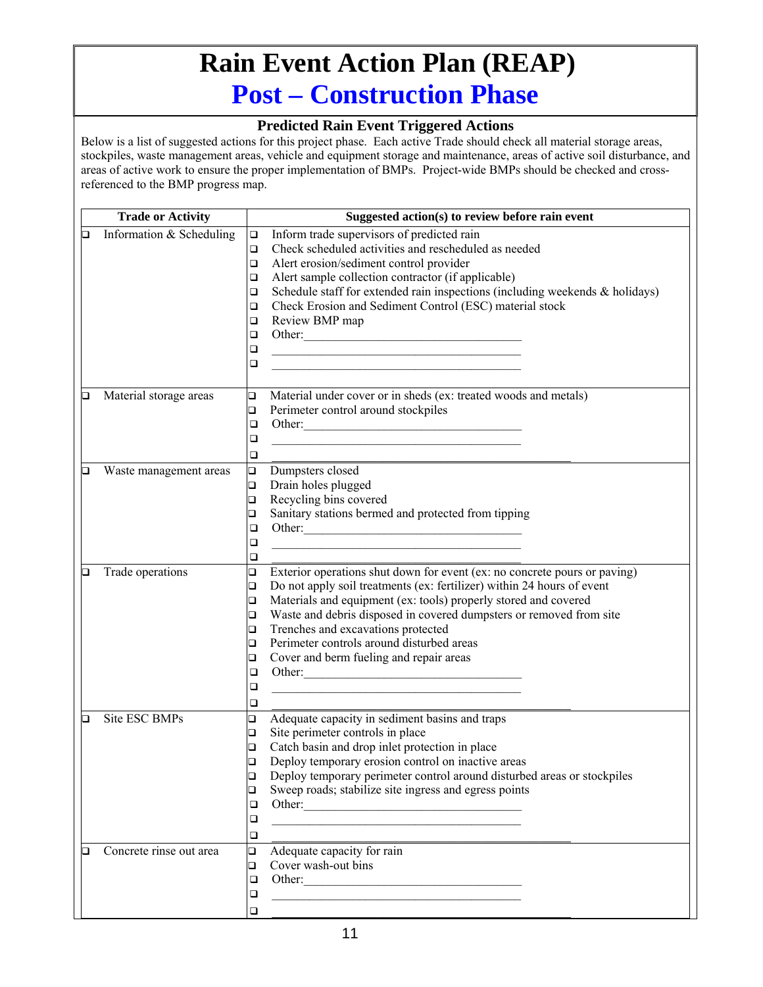## **Rain Event Action Plan (REAP) Post – Construction Phase**

#### **Predicted Rain Event Triggered Actions**

|   | <b>Trade or Activity</b> | Suggested action(s) to review before rain event                                                                                 |
|---|--------------------------|---------------------------------------------------------------------------------------------------------------------------------|
| o | Information & Scheduling | Inform trade supervisors of predicted rain<br>$\Box$                                                                            |
|   |                          | Check scheduled activities and rescheduled as needed<br>$\Box$                                                                  |
|   |                          | Alert erosion/sediment control provider<br>$\Box$                                                                               |
|   |                          | Alert sample collection contractor (if applicable)<br>$\Box$                                                                    |
|   |                          | Schedule staff for extended rain inspections (including weekends $\&$ holidays)<br>$\Box$                                       |
|   |                          | Check Erosion and Sediment Control (ESC) material stock<br>$\Box$                                                               |
|   |                          | Review BMP map<br>□                                                                                                             |
|   |                          | Other:<br>$\Box$                                                                                                                |
|   |                          | $\Box$<br><u> 1989 - Johann Barn, mars ann an t-Amhain an t-Amhain an t-Amhain an t-Amhain an t-Amhain an t-Amhain an t-Amh</u> |
|   |                          | $\Box$<br><u> 1980 - Johann Barbara, martin amerikan basar dan berasal dan berasal dalam basar dalam basar dalam basar dala</u> |
|   |                          |                                                                                                                                 |
| Q | Material storage areas   | $\Box$<br>Material under cover or in sheds (ex: treated woods and metals)                                                       |
|   |                          | Perimeter control around stockpiles<br>$\Box$                                                                                   |
|   |                          | Other:<br>$\Box$                                                                                                                |
|   |                          | ❏                                                                                                                               |
|   |                          | □                                                                                                                               |
| О | Waste management areas   | $\Box$<br>Dumpsters closed                                                                                                      |
|   |                          | Drain holes plugged<br>$\Box$                                                                                                   |
|   |                          | Recycling bins covered<br>$\Box$                                                                                                |
|   |                          | Sanitary stations bermed and protected from tipping<br>□                                                                        |
|   |                          | ❏                                                                                                                               |
|   |                          | ❏                                                                                                                               |
|   |                          | ❏                                                                                                                               |
| О | Trade operations         | $\Box$<br>Exterior operations shut down for event (ex: no concrete pours or paving)                                             |
|   |                          | Do not apply soil treatments (ex: fertilizer) within 24 hours of event<br>$\Box$                                                |
|   |                          | Materials and equipment (ex: tools) properly stored and covered<br>$\Box$                                                       |
|   |                          | Waste and debris disposed in covered dumpsters or removed from site<br>$\Box$                                                   |
|   |                          | Trenches and excavations protected<br>$\Box$                                                                                    |
|   |                          | Perimeter controls around disturbed areas<br>$\Box$                                                                             |
|   |                          | Cover and berm fueling and repair areas<br>o                                                                                    |
|   |                          | Other:<br>$\Box$                                                                                                                |
|   |                          | ❏                                                                                                                               |
|   |                          | □                                                                                                                               |
| ◻ | Site ESC BMPs            | Adequate capacity in sediment basins and traps<br>❏                                                                             |
|   |                          | Site perimeter controls in place<br>$\Box$                                                                                      |
|   |                          | Catch basin and drop inlet protection in place<br>$\Box$                                                                        |
|   |                          | Deploy temporary erosion control on inactive areas<br>$\Box$                                                                    |
|   |                          | Deploy temporary perimeter control around disturbed areas or stockpiles<br>❏                                                    |
|   |                          | Sweep roads; stabilize site ingress and egress points<br>❏                                                                      |
|   |                          | ❏                                                                                                                               |
|   |                          | ❏<br><u> 1989 - Johann Stoff, amerikansk politiker (d. 1989)</u>                                                                |
|   |                          | ❏                                                                                                                               |
| О | Concrete rinse out area  | Adequate capacity for rain<br>$\Box$                                                                                            |
|   |                          | Cover wash-out bins<br>□                                                                                                        |
|   |                          | Other:<br>□                                                                                                                     |
|   |                          | ❏<br><u> 1989 - Johann Barbara, martxa alemaniar arg</u>                                                                        |
|   |                          | $\Box$                                                                                                                          |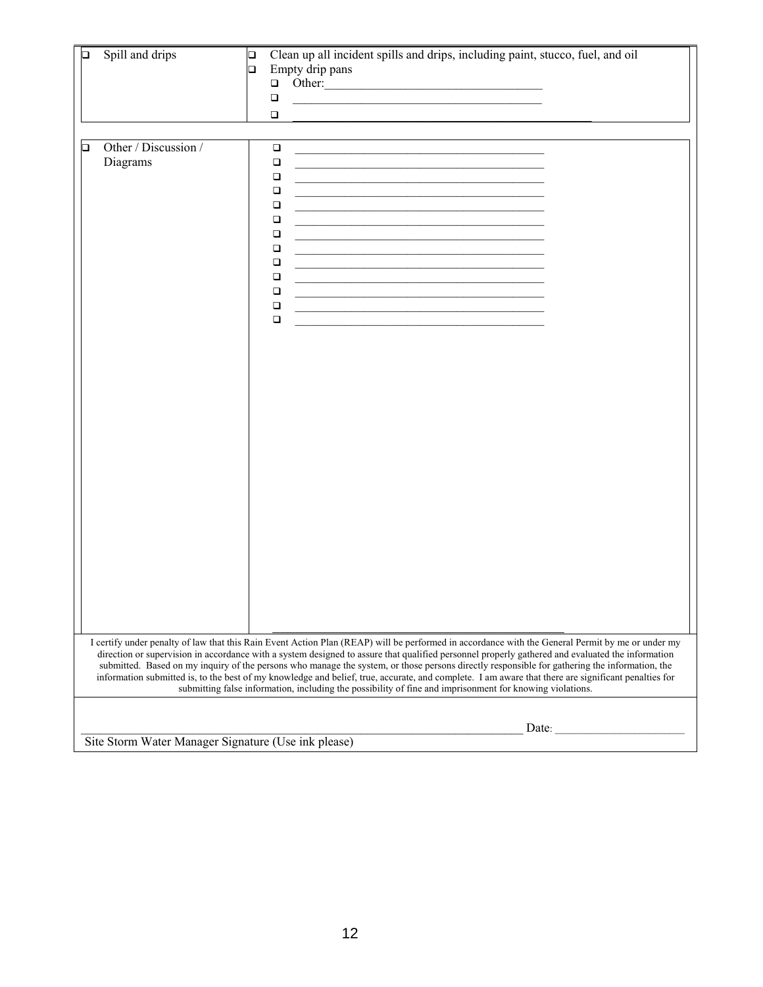| О | Spill and drips                                     | Clean up all incident spills and drips, including paint, stucco, fuel, and oil<br>$\Box$<br>Empty drip pans<br>$\Box$<br>Other:<br>$\Box$<br>$\Box$<br>$\Box$                                                                                                                                                                                                                                                                                                                                                                                                        |
|---|-----------------------------------------------------|----------------------------------------------------------------------------------------------------------------------------------------------------------------------------------------------------------------------------------------------------------------------------------------------------------------------------------------------------------------------------------------------------------------------------------------------------------------------------------------------------------------------------------------------------------------------|
| ◻ | Other / Discussion /<br>Diagrams                    | $\Box$<br>$\Box$<br>$\Box$<br>$\Box$<br>$\Box$<br>$\Box$<br>$\Box$<br>$\Box$<br>$\Box$<br>$\Box$<br>$\Box$<br>$\Box$<br>the control of the control of the control of the control of the control of the control of<br>$\Box$<br>I certify under penalty of law that this Rain Event Action Plan (REAP) will be performed in accordance with the General Permit by me or under my                                                                                                                                                                                      |
|   |                                                     | direction or supervision in accordance with a system designed to assure that qualified personnel properly gathered and evaluated the information<br>submitted. Based on my inquiry of the persons who manage the system, or those persons directly responsible for gathering the information, the<br>information submitted is, to the best of my knowledge and belief, true, accurate, and complete. I am aware that there are significant penalties for<br>submitting false information, including the possibility of fine and imprisonment for knowing violations. |
|   | Site Storm Water Manager Signature (Use ink please) | Date:                                                                                                                                                                                                                                                                                                                                                                                                                                                                                                                                                                |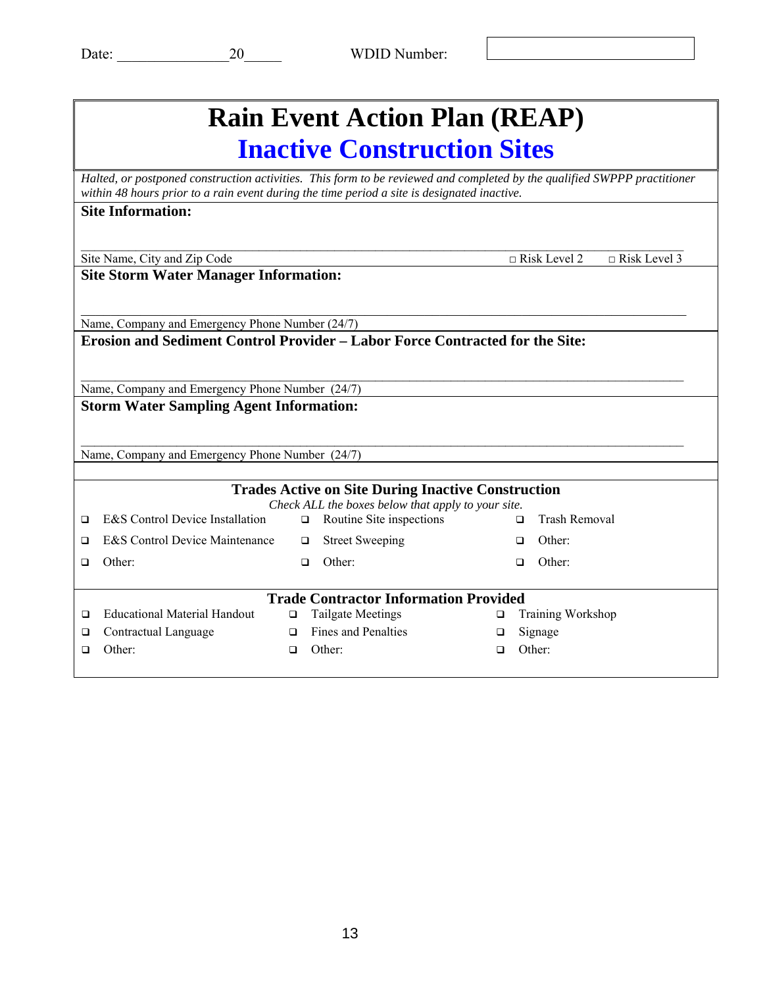| <b>Rain Event Action Plan (REAP)</b>                                                                                                                                                                                    |                                                 |        |                                                    |   |                                                |  |  |  |
|-------------------------------------------------------------------------------------------------------------------------------------------------------------------------------------------------------------------------|-------------------------------------------------|--------|----------------------------------------------------|---|------------------------------------------------|--|--|--|
| <b>Inactive Construction Sites</b>                                                                                                                                                                                      |                                                 |        |                                                    |   |                                                |  |  |  |
| Halted, or postponed construction activities. This form to be reviewed and completed by the qualified SWPPP practitioner<br>within 48 hours prior to a rain event during the time period a site is designated inactive. |                                                 |        |                                                    |   |                                                |  |  |  |
| <b>Site Information:</b>                                                                                                                                                                                                |                                                 |        |                                                    |   |                                                |  |  |  |
|                                                                                                                                                                                                                         | Site Name, City and Zip Code                    |        |                                                    |   | $\sqrt{R}$ Risk Level 3<br>$\Box$ Risk Level 2 |  |  |  |
| <b>Site Storm Water Manager Information:</b>                                                                                                                                                                            |                                                 |        |                                                    |   |                                                |  |  |  |
|                                                                                                                                                                                                                         |                                                 |        |                                                    |   |                                                |  |  |  |
| Name, Company and Emergency Phone Number (24/7)<br>Erosion and Sediment Control Provider – Labor Force Contracted for the Site:                                                                                         |                                                 |        |                                                    |   |                                                |  |  |  |
|                                                                                                                                                                                                                         |                                                 |        |                                                    |   |                                                |  |  |  |
| Name, Company and Emergency Phone Number (24/7)                                                                                                                                                                         |                                                 |        |                                                    |   |                                                |  |  |  |
| <b>Storm Water Sampling Agent Information:</b>                                                                                                                                                                          |                                                 |        |                                                    |   |                                                |  |  |  |
|                                                                                                                                                                                                                         |                                                 |        |                                                    |   |                                                |  |  |  |
|                                                                                                                                                                                                                         | Name, Company and Emergency Phone Number (24/7) |        |                                                    |   |                                                |  |  |  |
| <b>Trades Active on Site During Inactive Construction</b>                                                                                                                                                               |                                                 |        |                                                    |   |                                                |  |  |  |
|                                                                                                                                                                                                                         |                                                 |        | Check ALL the boxes below that apply to your site. |   |                                                |  |  |  |
| $\Box$                                                                                                                                                                                                                  | E&S Control Device Installation                 | $\Box$ | Routine Site inspections                           |   | <b>Trash Removal</b><br>o.                     |  |  |  |
| ◻                                                                                                                                                                                                                       | E&S Control Device Maintenance                  | $\Box$ | <b>Street Sweeping</b>                             |   | Other <sup>-</sup><br>□                        |  |  |  |
| $\Box$                                                                                                                                                                                                                  | Other:                                          | $\Box$ | Other:                                             |   | Other:<br>□                                    |  |  |  |
| <b>Trade Contractor Information Provided</b>                                                                                                                                                                            |                                                 |        |                                                    |   |                                                |  |  |  |
| ◻                                                                                                                                                                                                                       | <b>Educational Material Handout</b>             | $\Box$ | <b>Tailgate Meetings</b>                           | □ | Training Workshop                              |  |  |  |
| ◻                                                                                                                                                                                                                       | Contractual Language                            | □      | Fines and Penalties                                | □ | Signage                                        |  |  |  |
| □                                                                                                                                                                                                                       | Other:                                          | $\Box$ | Other:                                             | ◻ | Other:                                         |  |  |  |
|                                                                                                                                                                                                                         |                                                 |        |                                                    |   |                                                |  |  |  |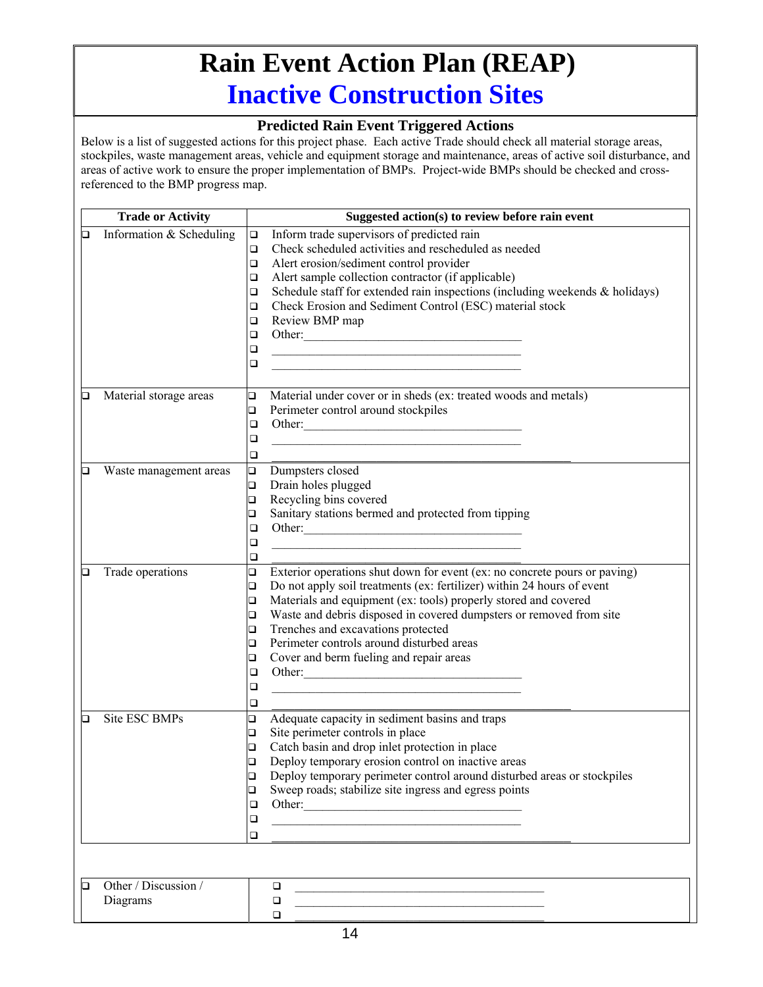## **Rain Event Action Plan (REAP) Inactive Construction Sites**

#### **Predicted Rain Event Triggered Actions**

|   | <b>Trade or Activity</b> | Suggested action(s) to review before rain event                                                                                |  |  |  |  |
|---|--------------------------|--------------------------------------------------------------------------------------------------------------------------------|--|--|--|--|
| o | Information & Scheduling | Inform trade supervisors of predicted rain<br>$\Box$                                                                           |  |  |  |  |
|   |                          | Check scheduled activities and rescheduled as needed<br>$\Box$                                                                 |  |  |  |  |
|   |                          | Alert erosion/sediment control provider<br>O.                                                                                  |  |  |  |  |
|   |                          | Alert sample collection contractor (if applicable)<br>O.                                                                       |  |  |  |  |
|   |                          | Schedule staff for extended rain inspections (including weekends $\&$ holidays)<br>O.                                          |  |  |  |  |
|   |                          | Check Erosion and Sediment Control (ESC) material stock<br>O.                                                                  |  |  |  |  |
|   |                          | Review BMP map<br>□                                                                                                            |  |  |  |  |
|   |                          | Other:<br>$\Box$                                                                                                               |  |  |  |  |
|   |                          | □                                                                                                                              |  |  |  |  |
|   |                          | □                                                                                                                              |  |  |  |  |
| О |                          | Material under cover or in sheds (ex: treated woods and metals)<br>$\Box$                                                      |  |  |  |  |
|   | Material storage areas   |                                                                                                                                |  |  |  |  |
|   |                          | Perimeter control around stockpiles<br>$\Box$<br>$\Box$                                                                        |  |  |  |  |
|   |                          | Other:                                                                                                                         |  |  |  |  |
|   |                          | $\Box$                                                                                                                         |  |  |  |  |
|   |                          | □                                                                                                                              |  |  |  |  |
| О | Waste management areas   | Dumpsters closed<br>$\Box$                                                                                                     |  |  |  |  |
|   |                          | Drain holes plugged<br>$\Box$                                                                                                  |  |  |  |  |
|   |                          | Recycling bins covered<br>$\Box$                                                                                               |  |  |  |  |
|   |                          | Sanitary stations bermed and protected from tipping<br>❏                                                                       |  |  |  |  |
|   |                          | Other:<br>❏                                                                                                                    |  |  |  |  |
|   |                          | $\Box$                                                                                                                         |  |  |  |  |
|   |                          | ❏                                                                                                                              |  |  |  |  |
| o | Trade operations         | Exterior operations shut down for event (ex: no concrete pours or paving)<br>□                                                 |  |  |  |  |
|   |                          | Do not apply soil treatments (ex: fertilizer) within 24 hours of event<br>$\Box$                                               |  |  |  |  |
|   |                          | Materials and equipment (ex: tools) properly stored and covered<br>$\Box$                                                      |  |  |  |  |
|   |                          | Waste and debris disposed in covered dumpsters or removed from site<br>$\Box$                                                  |  |  |  |  |
|   |                          | Trenches and excavations protected<br>$\Box$                                                                                   |  |  |  |  |
|   |                          | Perimeter controls around disturbed areas<br>□                                                                                 |  |  |  |  |
|   |                          | Cover and berm fueling and repair areas<br>□                                                                                   |  |  |  |  |
|   |                          | Other:<br>$\Box$                                                                                                               |  |  |  |  |
|   |                          | □<br>the control of the control of the control of the control of the control of the control of                                 |  |  |  |  |
|   |                          | □                                                                                                                              |  |  |  |  |
| О | Site ESC BMPs            | Adequate capacity in sediment basins and traps<br>❏                                                                            |  |  |  |  |
|   |                          | Site perimeter controls in place<br>□                                                                                          |  |  |  |  |
|   |                          | Catch basin and drop inlet protection in place<br>$\Box$                                                                       |  |  |  |  |
|   |                          | Deploy temporary erosion control on inactive areas<br>$\Box$                                                                   |  |  |  |  |
|   |                          | Deploy temporary perimeter control around disturbed areas or stockpiles<br>□                                                   |  |  |  |  |
|   |                          | Sweep roads; stabilize site ingress and egress points<br>❏                                                                     |  |  |  |  |
|   |                          | Other:<br>❏                                                                                                                    |  |  |  |  |
|   |                          | ❏<br><u> 1989 - Johann Barbara, marka a shekara tsa 1989 - An tsa 1989 - An tsa 1989 - An tsa 1989 - An tsa 1989 - An</u>      |  |  |  |  |
|   |                          | □                                                                                                                              |  |  |  |  |
|   |                          |                                                                                                                                |  |  |  |  |
| О | Other / Discussion /     | $\Box$                                                                                                                         |  |  |  |  |
|   | Diagrams                 | <u> 1989 - Johann John Stone, mars eta bainar eta baina eta erromana eta baina eta baina eta baina eta baina eta</u><br>$\Box$ |  |  |  |  |
|   |                          | the control of the control of the control of the control of the control of<br>$\Box$                                           |  |  |  |  |
|   |                          |                                                                                                                                |  |  |  |  |